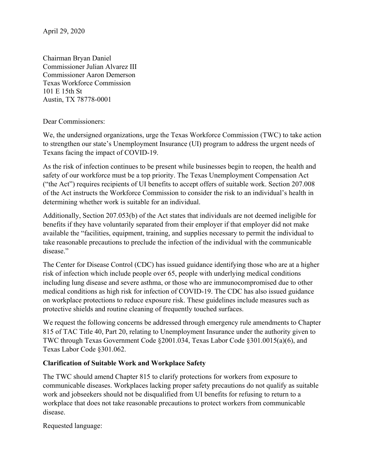Chairman Bryan Daniel Commissioner Julian Alvarez III Commissioner Aaron Demerson Texas Workforce Commission 101 E 15th St Austin, TX 78778-0001

#### Dear Commissioners:

We, the undersigned organizations, urge the Texas Workforce Commission (TWC) to take action to strengthen our state's Unemployment Insurance (UI) program to address the urgent needs of Texans facing the impact of COVID-19.

As the risk of infection continues to be present while businesses begin to reopen, the health and safety of our workforce must be a top priority. The Texas Unemployment Compensation Act ("the Act") requires recipients of UI benefits to accept offers of suitable work. Section 207.008 of the Act instructs the Workforce Commission to consider the risk to an individual's health in determining whether work is suitable for an individual.

Additionally, Section 207.053(b) of the Act states that individuals are not deemed ineligible for benefits if they have voluntarily separated from their employer if that employer did not make available the "facilities, equipment, training, and supplies necessary to permit the individual to take reasonable precautions to preclude the infection of the individual with the communicable disease."

The Center for Disease Control (CDC) has issued guidance identifying those who are at a higher risk of infection which include people over 65, people with underlying medical conditions including lung disease and severe asthma, or those who are immunocompromised due to other medical conditions as high risk for infection of COVID-19. The CDC has also issued guidance on workplace protections to reduce exposure risk. These guidelines include measures such as protective shields and routine cleaning of frequently touched surfaces.

We request the following concerns be addressed through emergency rule amendments to Chapter 815 of TAC Title 40, Part 20, relating to Unemployment Insurance under the authority given to TWC through Texas Government Code §2001.034, Texas Labor Code §301.0015(a)(6), and Texas Labor Code §301.062.

### **Clarification of Suitable Work and Workplace Safety**

The TWC should amend Chapter 815 to clarify protections for workers from exposure to communicable diseases. Workplaces lacking proper safety precautions do not qualify as suitable work and jobseekers should not be disqualified from UI benefits for refusing to return to a workplace that does not take reasonable precautions to protect workers from communicable disease.

Requested language: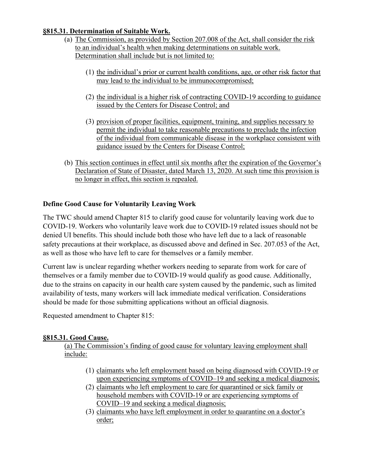### **§815.31. Determination of Suitable Work.**

- (a) The Commission, as provided by Section 207.008 of the Act, shall consider the risk to an individual's health when making determinations on suitable work. Determination shall include but is not limited to:
	- (1) the individual's prior or current health conditions, age, or other risk factor that may lead to the individual to be immunocompromised;
	- (2) the individual is a higher risk of contracting COVID-19 according to guidance issued by the Centers for Disease Control; and
	- (3) provision of proper facilities, equipment, training, and supplies necessary to permit the individual to take reasonable precautions to preclude the infection of the individual from communicable disease in the workplace consistent with guidance issued by the Centers for Disease Control;
- (b) This section continues in effect until six months after the expiration of the Governor's Declaration of State of Disaster, dated March 13, 2020. At such time this provision is no longer in effect, this section is repealed.

# **Define Good Cause for Voluntarily Leaving Work**

The TWC should amend Chapter 815 to clarify good cause for voluntarily leaving work due to COVID-19. Workers who voluntarily leave work due to COVID-19 related issues should not be denied UI benefits. This should include both those who have left due to a lack of reasonable safety precautions at their workplace, as discussed above and defined in Sec. 207.053 of the Act, as well as those who have left to care for themselves or a family member.

Current law is unclear regarding whether workers needing to separate from work for care of themselves or a family member due to COVID-19 would qualify as good cause. Additionally, due to the strains on capacity in our health care system caused by the pandemic, such as limited availability of tests, many workers will lack immediate medical verification. Considerations should be made for those submitting applications without an official diagnosis.

Requested amendment to Chapter 815:

## **§815.31. Good Cause.**

(a) The Commission's finding of good cause for voluntary leaving employment shall include:

- (1) claimants who left employment based on being diagnosed with COVID-19 or upon experiencing symptoms of COVID–19 and seeking a medical diagnosis;
- (2) claimants who left employment to care for quarantined or sick family or household members with COVID-19 or are experiencing symptoms of COVID–19 and seeking a medical diagnosis;
- (3) claimants who have left employment in order to quarantine on a doctor's order;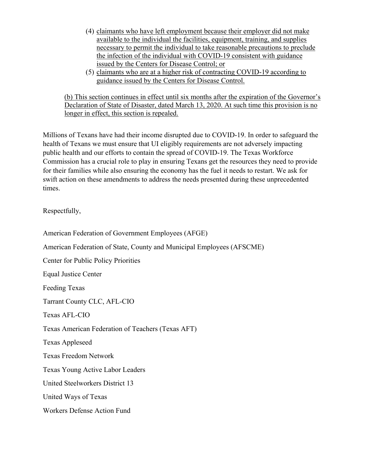- (4) claimants who have left employment because their employer did not make available to the individual the facilities, equipment, training, and supplies necessary to permit the individual to take reasonable precautions to preclude the infection of the individual with COVID-19 consistent with guidance issued by the Centers for Disease Control; or
- (5) claimants who are at a higher risk of contracting COVID-19 according to guidance issued by the Centers for Disease Control.

(b) This section continues in effect until six months after the expiration of the Governor's Declaration of State of Disaster, dated March 13, 2020. At such time this provision is no longer in effect, this section is repealed.

Millions of Texans have had their income disrupted due to COVID-19. In order to safeguard the health of Texans we must ensure that UI eligibly requirements are not adversely impacting public health and our efforts to contain the spread of COVID-19. The Texas Workforce Commission has a crucial role to play in ensuring Texans get the resources they need to provide for their families while also ensuring the economy has the fuel it needs to restart. We ask for swift action on these amendments to address the needs presented during these unprecedented times.

Respectfully,

American Federation of Government Employees (AFGE) American Federation of State, County and Municipal Employees (AFSCME) Center for Public Policy Priorities Equal Justice Center Feeding Texas Tarrant County CLC, AFL-CIO Texas AFL-CIO Texas American Federation of Teachers (Texas AFT) Texas Appleseed Texas Freedom Network Texas Young Active Labor Leaders United Steelworkers District 13 United Ways of Texas Workers Defense Action Fund